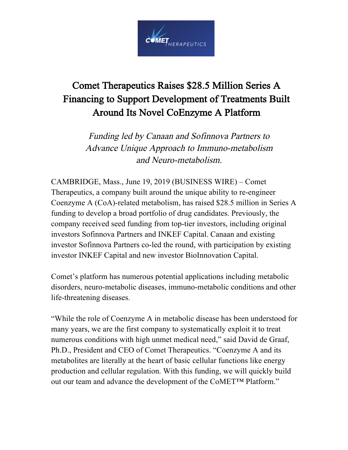

## Comet Therapeutics Raises \$28.5 Million Series A Financing to Support Development of Treatments Built Around Its Novel CoEnzyme A Platform

Funding led by Canaan and Sofinnova Partners to Advance Unique Approach to Immuno-metabolism and Neuro-metabolism.

CAMBRIDGE, Mass., June 19, 2019 (BUSINESS WIRE) – Comet Therapeutics, a company built around the unique ability to re-engineer Coenzyme A (CoA)-related metabolism, has raised \$28.5 million in Series A funding to develop a broad portfolio of drug candidates. Previously, the company received seed funding from top-tier investors, including original investors Sofinnova Partners and INKEF Capital. Canaan and existing investor Sofinnova Partners co-led the round, with participation by existing investor INKEF Capital and new investor BioInnovation Capital.

Comet's platform has numerous potential applications including metabolic disorders, neuro-metabolic diseases, immuno-metabolic conditions and other life-threatening diseases.

"While the role of Coenzyme A in metabolic disease has been understood for many years, we are the first company to systematically exploit it to treat numerous conditions with high unmet medical need," said David de Graaf, Ph.D., President and CEO of Comet Therapeutics. "Coenzyme A and its metabolites are literally at the heart of basic cellular functions like energy production and cellular regulation. With this funding, we will quickly build out our team and advance the development of the CoMET™ Platform."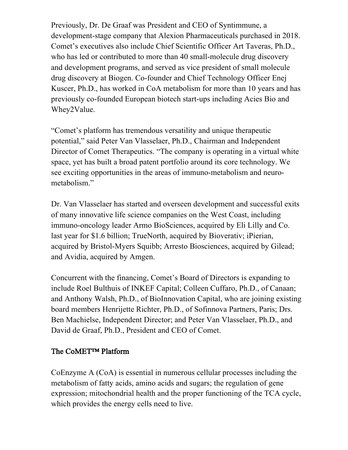Previously, Dr. De Graaf was President and CEO of Syntimmune, a development-stage company that Alexion Pharmaceuticals purchased in 2018. Comet's executives also include Chief Scientific Officer Art Taveras, Ph.D., who has led or contributed to more than 40 small-molecule drug discovery and development programs, and served as vice president of small molecule drug discovery at Biogen. Co-founder and Chief Technology Officer Enej Kuscer, Ph.D., has worked in CoA metabolism for more than 10 years and has previously co-founded European biotech start-ups including Acies Bio and Whey2Value.

"Comet's platform has tremendous versatility and unique therapeutic potential," said Peter Van Vlasselaer, Ph.D., Chairman and Independent Director of Comet Therapeutics. "The company is operating in a virtual white space, yet has built a broad patent portfolio around its core technology. We see exciting opportunities in the areas of immuno-metabolism and neurometabolism."

Dr. Van Vlasselaer has started and overseen development and successful exits of many innovative life science companies on the West Coast, including immuno-oncology leader Armo BioSciences, acquired by Eli Lilly and Co. last year for \$1.6 billion; TrueNorth, acquired by Bioverativ; iPierian, acquired by Bristol-Myers Squibb; Arresto Biosciences, acquired by Gilead; and Avidia, acquired by Amgen.

Concurrent with the financing, Comet's Board of Directors is expanding to include Roel Bulthuis of INKEF Capital; Colleen Cuffaro, Ph.D., of Canaan; and Anthony Walsh, Ph.D., of BioInnovation Capital, who are joining existing board members Henrijette Richter, Ph.D., of Sofinnova Partners, Paris; Drs. Ben Machielse, Independent Director; and Peter Van Vlasselaer, Ph.D., and David de Graaf, Ph.D., President and CEO of Comet.

## The CoMET™ Platform

CoEnzyme A (CoA) is essential in numerous cellular processes including the metabolism of fatty acids, amino acids and sugars; the regulation of gene expression; mitochondrial health and the proper functioning of the TCA cycle, which provides the energy cells need to live.